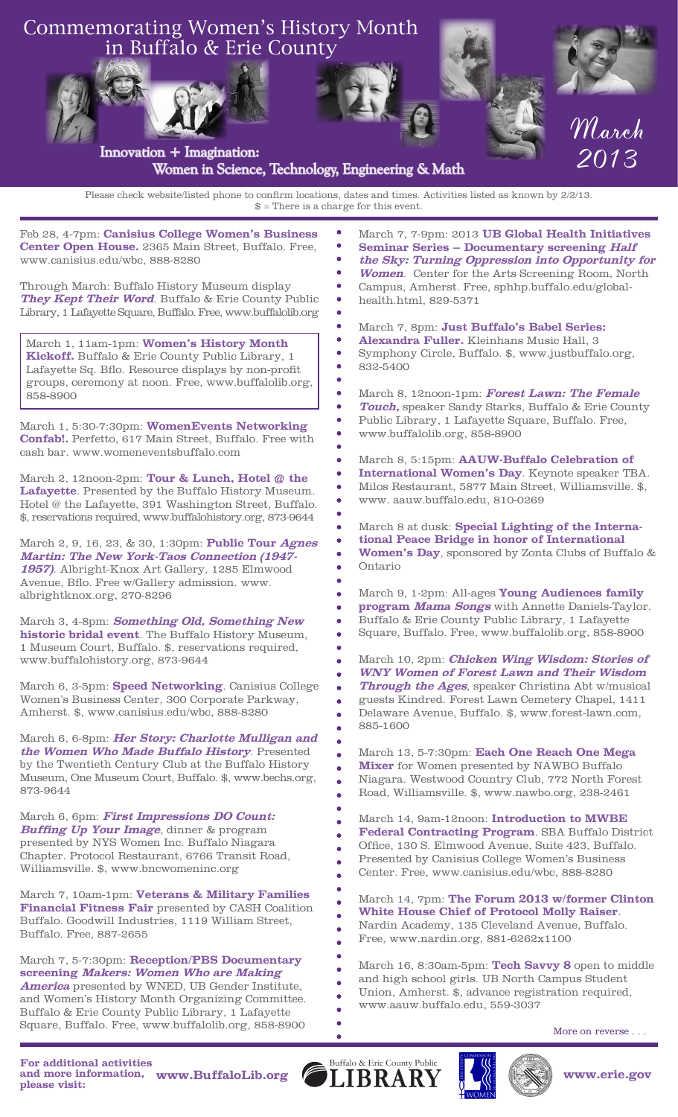

**1957)**. Albright-Knox Art Gallery, 1285 Elmwood Avenue, Bflo. Free w/Gallery admission. www. albrightknox.org, 270-8296

March 3, 4-8pm: **Something Old, Something New historic bridal event**. The Buffalo History Museum, 1 Museum Court, Buffalo. \$, reservations required, www.buffalohistory.org, 873-9644

March 6, 3-5pm: **Speed Networking**. Canisius College Women's Business Center, 300 Corporate Parkway, Amherst. \$, www.canisius.edu/wbc, 888-8280

March 6, 6-8pm: **Her Story: Charlotte Mulligan and the Women Who Made Buffalo History**. Presented by the Twentieth Century Club at the Buffalo History Museum, One Museum Court, Buffalo. \$, www.bechs.org, 873-9644

March 6, 6pm: **First Impressions DO Count: Buffing Up Your Image**, dinner & program presented by NYS Women Inc. Buffalo Niagara Chapter. Protocol Restaurant, 6766 Transit Road, Williamsville. \$, www.bncwomeninc.org

March 7, 10am-1pm: **Veterans & Military Families Financial Fitness Fair** presented by CASH Coalition Buffalo. Goodwill Industries, 1119 William Street, Buffalo. Free, 887-2655

March 7, 5-7:30pm: **Reception/PBS Documentary screening Makers: Women Who are Making America** presented by WNED, UB Gender Institute, and Women's History Month Organizing Committee. Buffalo & Erie County Public Library, 1 Lafayette Square, Buffalo. Free, www.buffalolib.org, 858-8900

**program Mama Songs** with Annette Daniels-Taylor. Buffalo & Erie County Public Library, 1 Lafayette Square, Buffalo. Free, www.buffalolib.org, 858-8900 March 10, 2pm: **Chicken Wing Wisdom: Stories of** 

March 9, 1-2pm: All-ages **Young Audiences family** 

**WNY Women of Forest Lawn and Their Wisdom Through the Ages**, speaker Christina Abt w/musical guests Kindred. Forest Lawn Cemetery Chapel, 1411 Delaware Avenue, Buffalo. \$, www.forest-lawn.com, 885-1600

March 13, 5-7:30pm: **Each One Reach One Mega Mixer** for Women presented by NAWBO Buffalo Niagara. Westwood Country Club, 772 North Forest Road, Williamsville. \$, www.nawbo.org, 238-2461

March 14, 9am-12noon: **Introduction to MWBE Federal Contracting Program**. SBA Buffalo District Office, 130 S. Elmwood Avenue, Suite 423, Buffalo. Presented by Canisius College Women's Business Center. Free, www.canisius.edu/wbc, 888-8280

March 14, 7pm: **The Forum 2013 w/former Clinton White House Chief of Protocol Molly Raiser**. Nardin Academy, 135 Cleveland Avenue, Buffalo. Free, www.nardin.org, 881-6262x1100

March 16, 8:30am-5pm: **Tech Savvy 8** open to middle and high school girls. UB North Campus Student Union, Amherst. \$, advance registration required, www.aauw.buffalo.edu, 559-3037

More on reverse . . .

**For additional activities and more information, please visit: www.BuffaloLib.org www.erie.gov**